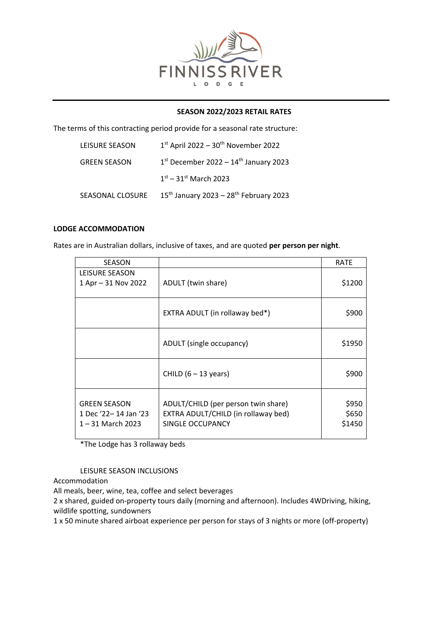

## **SEASON 2022/2023 RETAIL RATES**

The terms of this contracting period provide for a seasonal rate structure:

| LEISURE SEASON      | $1st$ April 2022 – 30 <sup>th</sup> November 2022    |
|---------------------|------------------------------------------------------|
| <b>GREEN SEASON</b> | $1st$ December 2022 – $14th$ January 2023            |
|                     | $1^{st} - 31^{st}$ March 2023                        |
| SEASONAL CLOSURE    | $15th$ January 2023 - 28 <sup>th</sup> February 2023 |

## **LODGE ACCOMMODATION**

Rates are in Australian dollars, inclusive of taxes, and are quoted **per person per night**.

| <b>SEASON</b>                                                      |                                                                                                | <b>RATE</b>              |
|--------------------------------------------------------------------|------------------------------------------------------------------------------------------------|--------------------------|
| LEISURE SEASON<br>1 Apr - 31 Nov 2022                              | ADULT (twin share)                                                                             | \$1200                   |
|                                                                    | EXTRA ADULT (in rollaway bed*)                                                                 | \$900                    |
|                                                                    | ADULT (single occupancy)                                                                       | \$1950                   |
|                                                                    | CHILD $(6 - 13$ years)                                                                         | \$900                    |
| <b>GREEN SEASON</b><br>1 Dec '22-14 Jan '23<br>$1 - 31$ March 2023 | ADULT/CHILD (per person twin share)<br>EXTRA ADULT/CHILD (in rollaway bed)<br>SINGLE OCCUPANCY | \$950<br>\$650<br>\$1450 |

\*The Lodge has 3 rollaway beds

LEISURE SEASON INCLUSIONS

Accommodation

All meals, beer, wine, tea, coffee and select beverages

2 x shared, guided on-property tours daily (morning and afternoon). Includes 4WDriving, hiking, wildlife spotting, sundowners

1 x 50 minute shared airboat experience per person for stays of 3 nights or more (off-property)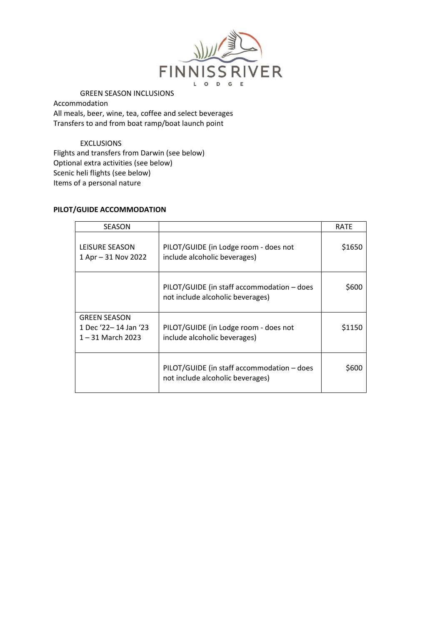

## GREEN SEASON INCLUSIONS

Accommodation All meals, beer, wine, tea, coffee and select beverages Transfers to and from boat ramp/boat launch point

# EXCLUSIONS

Flights and transfers from Darwin (see below) Optional extra activities (see below) Scenic heli flights (see below) Items of a personal nature

## **PILOT/GUIDE ACCOMMODATION**

| <b>SEASON</b>                                                      |                                                                                | <b>RATE</b> |
|--------------------------------------------------------------------|--------------------------------------------------------------------------------|-------------|
| LEISURE SEASON<br>1 Apr - 31 Nov 2022                              | PILOT/GUIDE (in Lodge room - does not<br>include alcoholic beverages)          | \$1650      |
|                                                                    | PILOT/GUIDE (in staff accommodation - does<br>not include alcoholic beverages) | \$600       |
| <b>GREEN SEASON</b><br>1 Dec '22-14 Jan '23<br>$1 - 31$ March 2023 | PILOT/GUIDE (in Lodge room - does not<br>include alcoholic beverages)          | \$1150      |
|                                                                    | PILOT/GUIDE (in staff accommodation - does<br>not include alcoholic beverages) | S600        |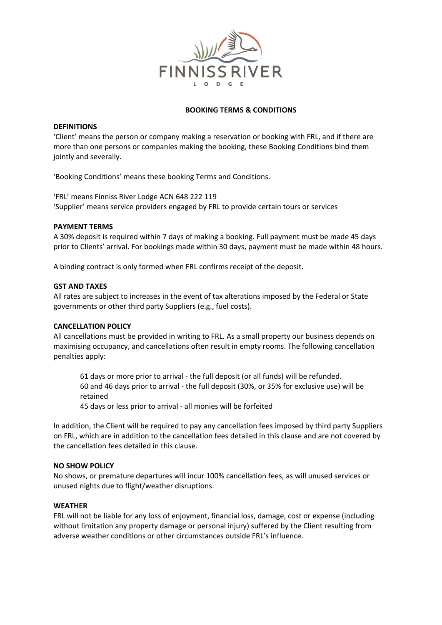

## **BOOKING TERMS & CONDITIONS**

## **DEFINITIONS**

'Client' means the person or company making a reservation or booking with FRL, and if there are more than one persons or companies making the booking, these Booking Conditions bind them jointly and severally.

'Booking Conditions' means these booking Terms and Conditions.

'FRL' means Finniss River Lodge ACN 648 222 119 'Supplier' means service providers engaged by FRL to provide certain tours or services

## **PAYMENT TERMS**

A 30% deposit is required within 7 days of making a booking. Full payment must be made 45 days prior to Clients' arrival. For bookings made within 30 days, payment must be made within 48 hours.

A binding contract is only formed when FRL confirms receipt of the deposit.

## **GST AND TAXES**

All rates are subject to increases in the event of tax alterations imposed by the Federal or State governments or other third party Suppliers (e.g., fuel costs).

## **CANCELLATION POLICY**

All cancellations must be provided in writing to FRL. As a small property our business depends on maximising occupancy, and cancellations often result in empty rooms. The following cancellation penalties apply:

61 days or more prior to arrival - the full deposit (or all funds) will be refunded. 60 and 46 days prior to arrival - the full deposit (30%, or 35% for exclusive use) will be retained

45 days or less prior to arrival - all monies will be forfeited

In addition, the Client will be required to pay any cancellation fees imposed by third party Suppliers on FRL, which are in addition to the cancellation fees detailed in this clause and are not covered by the cancellation fees detailed in this clause.

## **NO SHOW POLICY**

No shows, or premature departures will incur 100% cancellation fees, as will unused services or unused nights due to flight/weather disruptions.

#### **WEATHER**

FRL will not be liable for any loss of enjoyment, financial loss, damage, cost or expense (including without limitation any property damage or personal injury) suffered by the Client resulting from adverse weather conditions or other circumstances outside FRL's influence.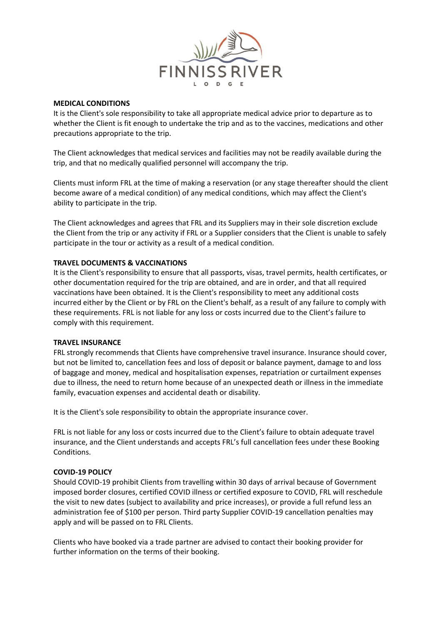

## **MEDICAL CONDITIONS**

It is the Client's sole responsibility to take all appropriate medical advice prior to departure as to whether the Client is fit enough to undertake the trip and as to the vaccines, medications and other precautions appropriate to the trip.

The Client acknowledges that medical services and facilities may not be readily available during the trip, and that no medically qualified personnel will accompany the trip.

Clients must inform FRL at the time of making a reservation (or any stage thereafter should the client become aware of a medical condition) of any medical conditions, which may affect the Client's ability to participate in the trip.

The Client acknowledges and agrees that FRL and its Suppliers may in their sole discretion exclude the Client from the trip or any activity if FRL or a Supplier considers that the Client is unable to safely participate in the tour or activity as a result of a medical condition.

## **TRAVEL DOCUMENTS & VACCINATIONS**

It is the Client's responsibility to ensure that all passports, visas, travel permits, health certificates, or other documentation required for the trip are obtained, and are in order, and that all required vaccinations have been obtained. It is the Client's responsibility to meet any additional costs incurred either by the Client or by FRL on the Client's behalf, as a result of any failure to comply with these requirements. FRL is not liable for any loss or costs incurred due to the Client's failure to comply with this requirement.

#### **TRAVEL INSURANCE**

FRL strongly recommends that Clients have comprehensive travel insurance. Insurance should cover, but not be limited to, cancellation fees and loss of deposit or balance payment, damage to and loss of baggage and money, medical and hospitalisation expenses, repatriation or curtailment expenses due to illness, the need to return home because of an unexpected death or illness in the immediate family, evacuation expenses and accidental death or disability.

It is the Client's sole responsibility to obtain the appropriate insurance cover.

FRL is not liable for any loss or costs incurred due to the Client's failure to obtain adequate travel insurance, and the Client understands and accepts FRL's full cancellation fees under these Booking Conditions.

#### **COVID-19 POLICY**

Should COVID-19 prohibit Clients from travelling within 30 days of arrival because of Government imposed border closures, certified COVID illness or certified exposure to COVID, FRL will reschedule the visit to new dates (subject to availability and price increases), or provide a full refund less an administration fee of \$100 per person. Third party Supplier COVID-19 cancellation penalties may apply and will be passed on to FRL Clients.

Clients who have booked via a trade partner are advised to contact their booking provider for further information on the terms of their booking.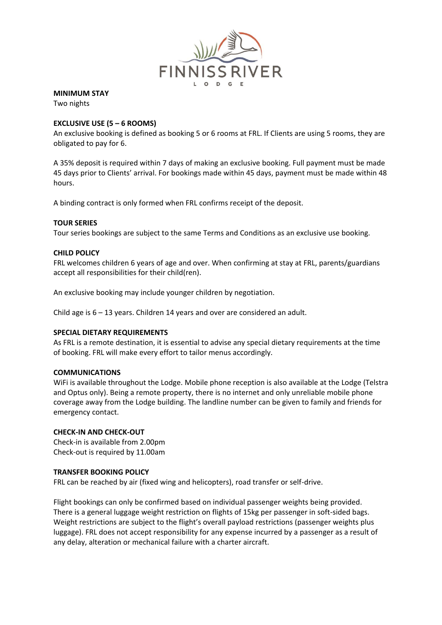

# **MINIMUM STAY**

Two nights

# **EXCLUSIVE USE (5 – 6 ROOMS)**

An exclusive booking is defined as booking 5 or 6 rooms at FRL. If Clients are using 5 rooms, they are obligated to pay for 6.

A 35% deposit is required within 7 days of making an exclusive booking. Full payment must be made 45 days prior to Clients' arrival. For bookings made within 45 days, payment must be made within 48 hours.

A binding contract is only formed when FRL confirms receipt of the deposit.

# **TOUR SERIES**

Tour series bookings are subject to the same Terms and Conditions as an exclusive use booking.

# **CHILD POLICY**

FRL welcomes children 6 years of age and over. When confirming at stay at FRL, parents/guardians accept all responsibilities for their child(ren).

An exclusive booking may include younger children by negotiation.

Child age is 6 – 13 years. Children 14 years and over are considered an adult.

## **SPECIAL DIETARY REQUIREMENTS**

As FRL is a remote destination, it is essential to advise any special dietary requirements at the time of booking. FRL will make every effort to tailor menus accordingly.

## **COMMUNICATIONS**

WiFi is available throughout the Lodge. Mobile phone reception is also available at the Lodge (Telstra and Optus only). Being a remote property, there is no internet and only unreliable mobile phone coverage away from the Lodge building. The landline number can be given to family and friends for emergency contact.

## **CHECK-IN AND CHECK-OUT**

Check-in is available from 2.00pm Check-out is required by 11.00am

## **TRANSFER BOOKING POLICY**

FRL can be reached by air (fixed wing and helicopters), road transfer or self-drive.

Flight bookings can only be confirmed based on individual passenger weights being provided. There is a general luggage weight restriction on flights of 15kg per passenger in soft-sided bags. Weight restrictions are subject to the flight's overall payload restrictions (passenger weights plus luggage). FRL does not accept responsibility for any expense incurred by a passenger as a result of any delay, alteration or mechanical failure with a charter aircraft.